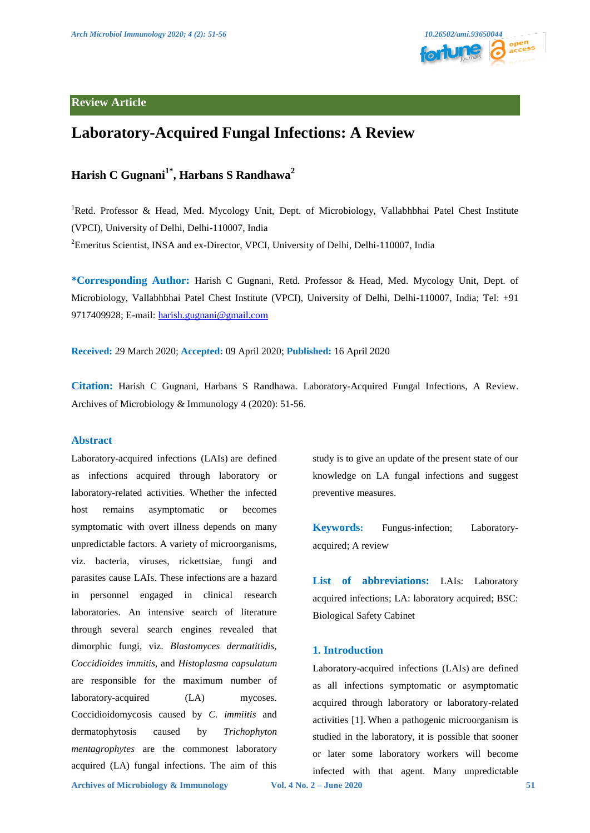

# **Review Article**

# **Laboratory-Acquired Fungal Infections: A Review**

# **Harish C Gugnani1\*, Harbans S Randhawa2**

<sup>1</sup>Retd. Professor & Head, Med. Mycology Unit, Dept. of Microbiology, Vallabhbhai Patel Chest Institute (VPCI), University of Delhi, Delhi-110007, India <sup>2</sup>Emeritus Scientist, INSA and ex-Director, VPCI, University of Delhi, Delhi-110007, India

**\*Corresponding Author:** Harish C Gugnani, Retd. Professor & Head, Med. Mycology Unit, Dept. of Microbiology, Vallabhbhai Patel Chest Institute (VPCI), University of Delhi, Delhi-110007, India; Tel: +91 9717409928; E-mail: [harish.gugnani@gmail.com](mailto:harish.gugnani@gmail.com)

**Received:** 29 March 2020; **Accepted:** 09 April 2020; **Published:** 16 April 2020

**Citation:** Harish C Gugnani, Harbans S Randhawa. Laboratory-Acquired Fungal Infections, A Review. Archives of Microbiology & Immunology 4 (2020): 51-56.

## **Abstract**

Laboratory-acquired infections (LAIs) are defined as infections acquired through laboratory or laboratory-related activities. Whether the infected host remains asymptomatic or becomes symptomatic with overt illness depends on many unpredictable factors. A variety of microorganisms, viz. bacteria, viruses, rickettsiae, fungi and parasites cause LAIs. These infections are a hazard in personnel engaged in clinical research laboratories. An intensive search of literature through several search engines revealed that dimorphic fungi, viz. *Blastomyces dermatitidis, Coccidioides immitis,* and *Histoplasma capsulatum*  are responsible for the maximum number of laboratory-acquired (LA) mycoses. Coccidioidomycosis caused by *C*. *immiitis* and dermatophytosis caused by *Trichophyton mentagrophytes* are the commonest laboratory acquired (LA) fungal infections. The aim of this

study is to give an update of the present state of our knowledge on LA fungal infections and suggest preventive measures.

**Keywords:** Fungus-infection; Laboratoryacquired; A review

**List of abbreviations:** LAIs: Laboratory acquired infections; LA: laboratory acquired; BSC: Biological Safety Cabinet

#### **1. Introduction**

Laboratory-acquired infections (LAIs) are defined as all infections symptomatic or asymptomatic acquired through laboratory or laboratory-related activities [1]. When a pathogenic microorganism is studied in the laboratory, it is possible that sooner or later some laboratory workers will become infected with that agent. Many unpredictable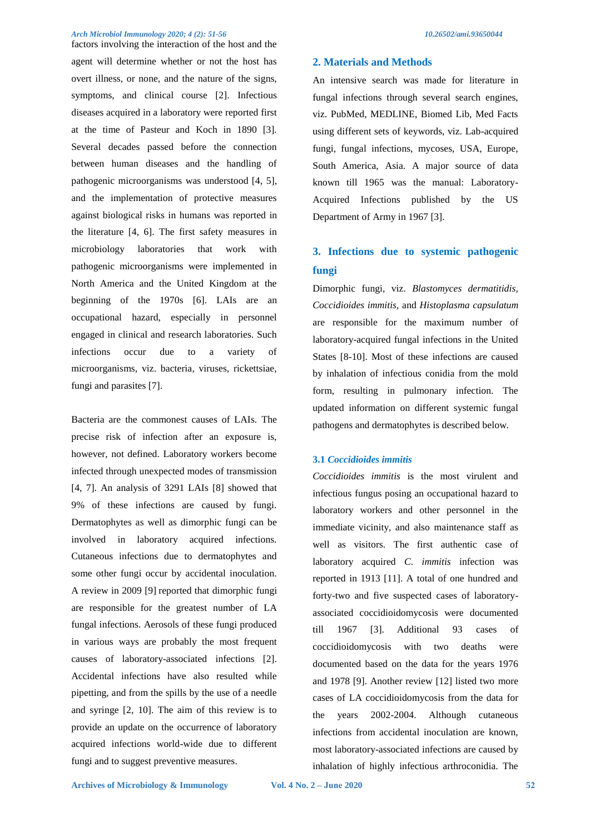#### *Arch Microbiol Immunology 2020; 4 (2): 51-56 10.26502/ami.93650044*

factors involving the interaction of the host and the agent will determine whether or not the host has overt illness, or none, and the nature of the signs, symptoms, and clinical course [2]. Infectious diseases acquired in a laboratory were reported first at the time of Pasteur and Koch in 1890 [3]. Several decades passed before the connection between human diseases and the handling of pathogenic microorganisms was understood [4, 5], and the implementation of protective measures against biological risks in humans was reported in the literature [4, 6]. The first safety measures in microbiology laboratories that work with pathogenic microorganisms were implemented in North America and the United Kingdom at the beginning of the 1970s [6]. LAIs are an occupational hazard, especially in personnel engaged in clinical and research laboratories. Such infections occur due to a variety of microorganisms, viz. bacteria, viruses, rickettsiae, fungi and parasites [7].

Bacteria are the commonest causes of LAIs. The precise risk of infection after an exposure is, however, not defined. Laboratory workers become infected through unexpected modes of transmission [4, 7]. An analysis of 3291 LAIs [8] showed that 9% of these infections are caused by fungi. Dermatophytes as well as dimorphic fungi can be involved in laboratory acquired infections. Cutaneous infections due to dermatophytes and some other fungi occur by accidental inoculation. A review in 2009 [9] reported that dimorphic fungi are responsible for the greatest number of LA fungal infections. Aerosols of these fungi produced in various ways are probably the most frequent causes of laboratory-associated infections [2]. Accidental infections have also resulted while pipetting, and from the spills by the use of a needle and syringe [2, 10]. The aim of this review is to provide an update on the occurrence of laboratory acquired infections world-wide due to different fungi and to suggest preventive measures.

### **2. Materials and Methods**

An intensive search was made for literature in fungal infections through several search engines, viz. PubMed, MEDLINE, Biomed Lib, Med Facts using different sets of keywords, viz. Lab-acquired fungi, fungal infections, mycoses, USA, Europe, South America, Asia. A major source of data known till 1965 was the manual: Laboratory-Acquired Infections published by the US Department of Army in 1967 [3].

# **3. Infections due to systemic pathogenic fungi**

Dimorphic fungi, viz. *Blastomyces dermatitidis, Coccidioides immitis,* and *Histoplasma capsulatum*  are responsible for the maximum number of laboratory-acquired fungal infections in the United States [8-10]. Most of these infections are caused by inhalation of infectious conidia from the mold form, resulting in pulmonary infection. The updated information on different systemic fungal pathogens and dermatophytes is described below.

### **3.1** *Coccidioides immitis*

*Coccidioides immitis* is the most virulent and infectious fungus posing an occupational hazard to laboratory workers and other personnel in the immediate vicinity, and also maintenance staff as well as visitors. The first authentic case of laboratory acquired *C. immitis* infection was reported in 1913 [11]. A total of one hundred and forty-two and five suspected cases of laboratoryassociated coccidioidomycosis were documented till 1967 [3]. Additional 93 cases of coccidioidomycosis with two deaths were documented based on the data for the years 1976 and 1978 [9]. Another review [12] listed two more cases of LA coccidioidomycosis from the data for the years 2002-2004. Although cutaneous infections from accidental inoculation are known, most laboratory-associated infections are caused by inhalation of highly infectious arthroconidia. The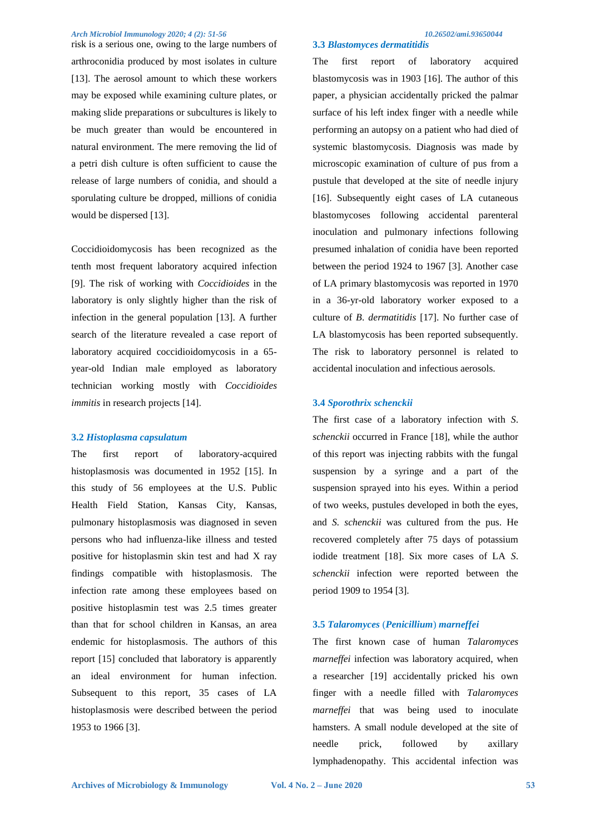#### *Arch Microbiol Immunology 2020; 4 (2): 51-56 10.26502/ami.93650044*

risk is a serious one, owing to the large numbers of arthroconidia produced by most isolates in culture [13]. The aerosol amount to which these workers may be exposed while examining culture plates, or making slide preparations or subcultures is likely to be much greater than would be encountered in natural environment. The mere removing the lid of a petri dish culture is often sufficient to cause the release of large numbers of conidia, and should a sporulating culture be dropped, millions of conidia would be dispersed [13].

Coccidioidomycosis has been recognized as the tenth most frequent laboratory acquired infection [9]. The risk of working with *Coccidioides* in the laboratory is only slightly higher than the risk of infection in the general population [13]. A further search of the literature revealed a case report of laboratory acquired coccidioidomycosis in a 65 year-old Indian male employed as laboratory technician working mostly with *Coccidioides immitis* in research projects [14].

#### **3.2** *Histoplasma capsulatum*

The first report of laboratory-acquired histoplasmosis was documented in 1952 [15]. In this study of 56 employees at the U.S. Public Health Field Station, Kansas City, Kansas, pulmonary histoplasmosis was diagnosed in seven persons who had influenza-like illness and tested positive for histoplasmin skin test and had X ray findings compatible with histoplasmosis. The infection rate among these employees based on positive histoplasmin test was 2.5 times greater than that for school children in Kansas, an area endemic for histoplasmosis. The authors of this report [15] concluded that laboratory is apparently an ideal environment for human infection. Subsequent to this report, 35 cases of LA histoplasmosis were described between the period 1953 to 1966 [3].

#### **3.3** *Blastomyces dermatitidis*

The first report of laboratory acquired blastomycosis was in 1903 [16]. The author of this paper, a physician accidentally pricked the palmar surface of his left index finger with a needle while performing an autopsy on a patient who had died of systemic blastomycosis. Diagnosis was made by microscopic examination of culture of pus from a pustule that developed at the site of needle injury [16]. Subsequently eight cases of LA cutaneous blastomycoses following accidental parenteral inoculation and pulmonary infections following presumed inhalation of conidia have been reported between the period 1924 to 1967 [3]. Another case of LA primary blastomycosis was reported in 1970 in a 36-yr-old laboratory worker exposed to a culture of *B*. *dermatitidis* [17]. No further case of LA blastomycosis has been reported subsequently. The risk to laboratory personnel is related to accidental inoculation and infectious aerosols.

#### **3.4** *Sporothrix schenckii*

The first case of a laboratory infection with *S*. *schenckii* occurred in France [18], while the author of this report was injecting rabbits with the fungal suspension by a syringe and a part of the suspension sprayed into his eyes. Within a period of two weeks, pustules developed in both the eyes, and *S. schenckii* was cultured from the pus. He recovered completely after 75 days of potassium iodide treatment [18]. Six more cases of LA *S*. *schenckii* infection were reported between the period 1909 to 1954 [3].

## **3.5** *Talaromyces* (*Penicillium*) *marneffei*

The first known case of human *Talaromyces marneffei* infection was laboratory acquired, when a researcher [19] accidentally pricked his own finger with a needle filled with *Talaromyces marneffei* that was being used to inoculate hamsters. A small nodule developed at the site of needle prick, followed by axillary lymphadenopathy. This accidental infection was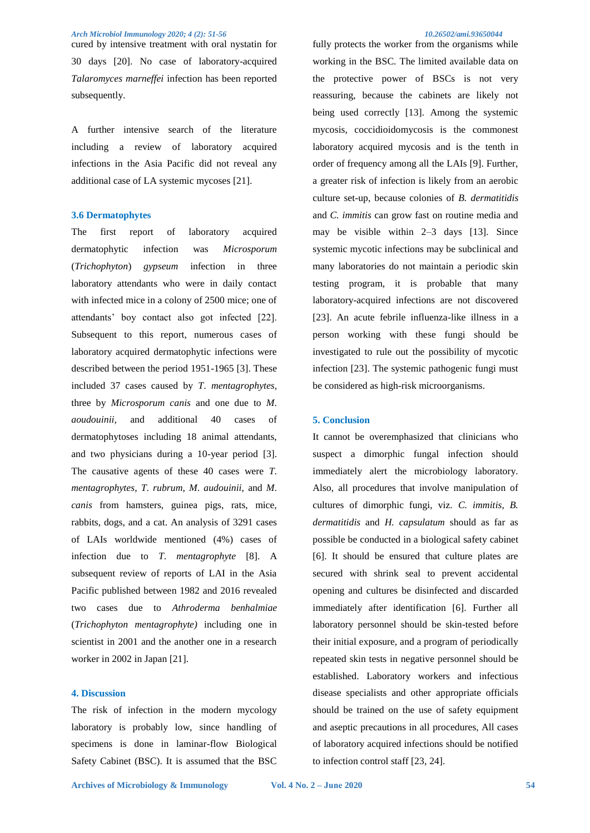cured by intensive treatment with oral nystatin for 30 days [20]. No case of laboratory-acquired *Talaromyces marneffei* infection has been reported subsequently.

A further intensive search of the literature including a review of laboratory acquired infections in the Asia Pacific did not reveal any additional case of LA systemic mycoses [21].

#### **3.6 Dermatophytes**

The first report of laboratory acquired dermatophytic infection was *Microsporum* (*Trichophyton*) *gypseum* infection in three laboratory attendants who were in daily contact with infected mice in a colony of 2500 mice; one of attendants' boy contact also got infected [22]. Subsequent to this report, numerous cases of laboratory acquired dermatophytic infections were described between the period 1951-1965 [3]. These included 37 cases caused by *T*. *mentagrophytes*, three by *Microsporum canis* and one due to *M*. *aoudouinii,* and additional 40 cases of dermatophytoses including 18 animal attendants, and two physicians during a 10-year period [3]. The causative agents of these 40 cases were *T*. *mentagrophytes*, *T*. *rubrum*, *M*. *audouinii*, and *M*. *canis* from hamsters, guinea pigs, rats, mice, rabbits, dogs, and a cat. An analysis of 3291 cases of LAIs worldwide mentioned (4%) cases of infection due to *T*. *mentagrophyte* [8]. A subsequent review of reports of LAI in the Asia Pacific published between 1982 and 2016 revealed two cases due to *Athroderma benhalmiae* (*Trichophyton mentagrophyte)* including one in scientist in 2001 and the another one in a research worker in 2002 in Japan [21].

#### **4. Discussion**

The risk of infection in the modern mycology laboratory is probably low, since handling of specimens is done in laminar-flow Biological Safety Cabinet (BSC). It is assumed that the BSC

fully protects the worker from the organisms while working in the BSC. The limited available data on the protective power of BSCs is not very reassuring, because the cabinets are likely not being used correctly [13]. Among the systemic mycosis, coccidioidomycosis is the commonest laboratory acquired mycosis and is the tenth in order of frequency among all the LAIs [9]. Further, a greater risk of infection is likely from an aerobic culture set-up, because colonies of *B. dermatitidis* and *C. immitis* can grow fast on routine media and may be visible within 2–3 days [13]. Since systemic mycotic infections may be subclinical and many laboratories do not maintain a periodic skin testing program, it is probable that many laboratory-acquired infections are not discovered [23]. An acute febrile influenza-like illness in a person working with these fungi should be investigated to rule out the possibility of mycotic infection [23]. The systemic pathogenic fungi must be considered as high-risk microorganisms.

#### **5. Conclusion**

It cannot be overemphasized that clinicians who suspect a dimorphic fungal infection should immediately alert the microbiology laboratory. Also, all procedures that involve manipulation of cultures of dimorphic fungi, viz. *C. immitis, B. dermatitidis* and *H. capsulatum* should as far as possible be conducted in a biological safety cabinet [6]. It should be ensured that culture plates are secured with shrink seal to prevent accidental opening and cultures be disinfected and discarded immediately after identification [6]. Further all laboratory personnel should be skin-tested before their initial exposure, and a program of periodically repeated skin tests in negative personnel should be established. Laboratory workers and infectious disease specialists and other appropriate officials should be trained on the use of safety equipment and aseptic precautions in all procedures, All cases of laboratory acquired infections should be notified to infection control staff [23, 24].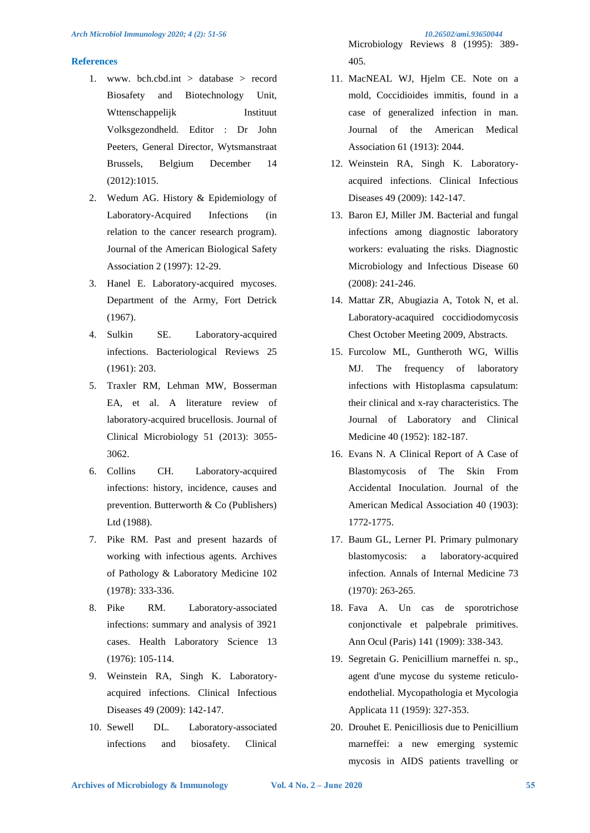## **References**

- 1. www. bch.cbd.int  $>$  database  $>$  record Biosafety and Biotechnology Unit, Wttenschappelijk Instituut Volksgezondheld. Editor : Dr John Peeters, General Director, Wytsmanstraat Brussels, Belgium December 14 (2012):1015.
- 2. Wedum AG. History & Epidemiology of Laboratory-Acquired Infections (in relation to the cancer research program). Journal of the American Biological Safety Association 2 (1997): 12-29.
- 3. Hanel E. Laboratory-acquired mycoses. Department of the Army, Fort Detrick (1967).
- 4. Sulkin SE. Laboratory-acquired infections. Bacteriological Reviews 25 (1961): 203.
- 5. Traxler RM, Lehman MW, Bosserman EA, et al. A literature review of laboratory-acquired brucellosis. Journal of Clinical Microbiology 51 (2013): 3055- 3062.
- 6. Collins CH. Laboratory-acquired infections: history, incidence, causes and prevention. Butterworth & Co (Publishers) Ltd (1988).
- 7. Pike RM. Past and present hazards of working with infectious agents. Archives of Pathology & Laboratory Medicine 102 (1978): 333-336.
- 8. Pike RM. Laboratory-associated infections: summary and analysis of 3921 cases. Health Laboratory Science 13 (1976): 105-114.
- 9. Weinstein RA, Singh K. Laboratoryacquired infections. Clinical Infectious Diseases 49 (2009): 142-147.
- 10. Sewell DL. Laboratory-associated infections and biosafety. Clinical

Microbiology Reviews 8 (1995): 389- 405.

- 11. MacNEAL WJ, Hjelm CE. Note on a mold, Coccidioides immitis, found in a case of generalized infection in man. Journal of the American Medical Association 61 (1913): 2044.
- 12. Weinstein RA, Singh K. Laboratoryacquired infections. Clinical Infectious Diseases 49 (2009): 142-147.
- 13. Baron EJ, Miller JM. Bacterial and fungal infections among diagnostic laboratory workers: evaluating the risks. Diagnostic Microbiology and Infectious Disease 60 (2008): 241-246.
- 14. Mattar ZR, Abugiazia A, Totok N, et al. Laboratory-acaquired coccidiodomycosis Chest October Meeting 2009, Abstracts.
- 15. Furcolow ML, Guntheroth WG, Willis MJ. The frequency of laboratory infections with Histoplasma capsulatum: their clinical and x-ray characteristics. The Journal of Laboratory and Clinical Medicine 40 (1952): 182-187.
- 16. Evans N. A Clinical Report of A Case of Blastomycosis of The Skin From Accidental Inoculation. Journal of the American Medical Association 40 (1903): 1772-1775.
- 17. Baum GL, Lerner PI. Primary pulmonary blastomycosis: a laboratory-acquired infection. Annals of Internal Medicine 73 (1970): 263-265.
- 18. Fava A. Un cas de sporotrichose conjonctivale et palpebrale primitives. Ann Ocul (Paris) 141 (1909): 338-343.
- 19. Segretain G. Penicillium marneffei n. sp., agent d'une mycose du systeme reticuloendothelial. Mycopathologia et Mycologia Applicata 11 (1959): 327-353.
- 20. Drouhet E. Penicilliosis due to Penicillium marneffei: a new emerging systemic mycosis in AIDS patients travelling or